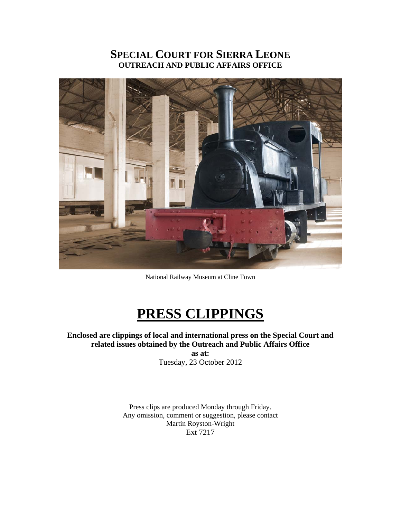## **SPECIAL COURT FOR SIERRA LEONE OUTREACH AND PUBLIC AFFAIRS OFFICE**



National Railway Museum at Cline Town

# **PRESS CLIPPINGS**

**Enclosed are clippings of local and international press on the Special Court and related issues obtained by the Outreach and Public Affairs Office as at:** 

Tuesday, 23 October 2012

Press clips are produced Monday through Friday. Any omission, comment or suggestion, please contact Martin Royston-Wright Ext 7217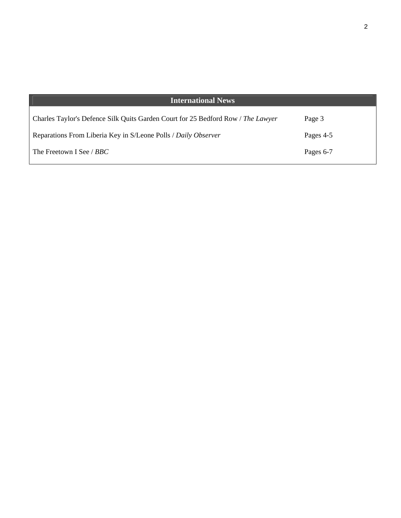| <b>International News</b>                                                        |           |
|----------------------------------------------------------------------------------|-----------|
| Charles Taylor's Defence Silk Quits Garden Court for 25 Bedford Row / The Lawyer | Page 3    |
| Reparations From Liberia Key in S/Leone Polls / Daily Observer                   | Pages 4-5 |
| The Freetown I See / <i>BBC</i>                                                  | Pages 6-7 |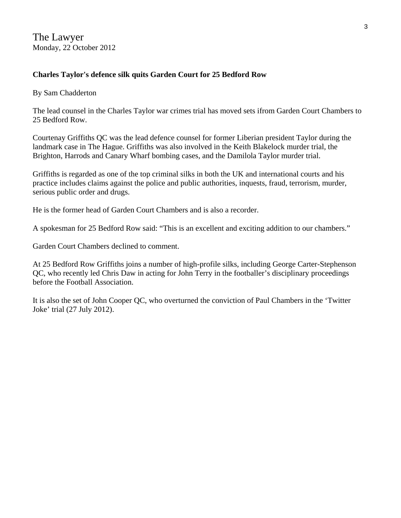The Lawyer Monday, 22 October 2012

#### **Charles Taylor's defence silk quits Garden Court for 25 Bedford Row**

By Sam Chadderton

The lead counsel in the Charles Taylor war crimes trial has moved sets ifrom Garden Court Chambers to 25 Bedford Row.

Courtenay Griffiths QC was the lead defence counsel for former Liberian president Taylor during the landmark case in The Hague. Griffiths was also involved in the Keith Blakelock murder trial, the Brighton, Harrods and Canary Wharf bombing cases, and the Damilola Taylor murder trial.

Griffiths is regarded as one of the top criminal silks in both the UK and international courts and his practice includes claims against the police and public authorities, inquests, fraud, terrorism, murder, serious public order and drugs.

He is the former head of Garden Court Chambers and is also a recorder.

A spokesman for 25 Bedford Row said: "This is an excellent and exciting addition to our chambers."

Garden Court Chambers declined to comment.

At 25 Bedford Row Griffiths joins a number of high-profile silks, including George Carter-Stephenson QC, who recently led Chris Daw in acting for John Terry in the footballer's disciplinary proceedings before the Football Association.

It is also the set of John Cooper QC, who overturned the conviction of Paul Chambers in the 'Twitter Joke' trial (27 July 2012).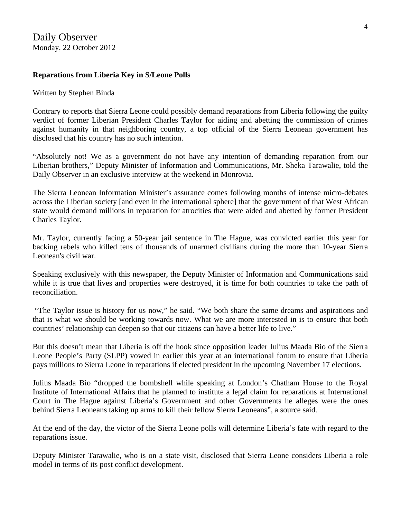#### **Reparations from Liberia Key in S/Leone Polls**

#### Written by Stephen Binda

Contrary to reports that Sierra Leone could possibly demand reparations from Liberia following the guilty verdict of former Liberian President Charles Taylor for aiding and abetting the commission of crimes against humanity in that neighboring country, a top official of the Sierra Leonean government has disclosed that his country has no such intention.

"Absolutely not! We as a government do not have any intention of demanding reparation from our Liberian brothers," Deputy Minister of Information and Communications, Mr. Sheka Tarawalie, told the Daily Observer in an exclusive interview at the weekend in Monrovia.

The Sierra Leonean Information Minister's assurance comes following months of intense micro-debates across the Liberian society [and even in the international sphere] that the government of that West African state would demand millions in reparation for atrocities that were aided and abetted by former President Charles Taylor.

Mr. Taylor, currently facing a 50-year jail sentence in The Hague, was convicted earlier this year for backing rebels who killed tens of thousands of unarmed civilians during the more than 10-year Sierra Leonean's civil war.

Speaking exclusively with this newspaper, the Deputy Minister of Information and Communications said while it is true that lives and properties were destroyed, it is time for both countries to take the path of reconciliation.

 "The Taylor issue is history for us now," he said. "We both share the same dreams and aspirations and that is what we should be working towards now. What we are more interested in is to ensure that both countries' relationship can deepen so that our citizens can have a better life to live."

But this doesn't mean that Liberia is off the hook since opposition leader Julius Maada Bio of the Sierra Leone People's Party (SLPP) vowed in earlier this year at an international forum to ensure that Liberia pays millions to Sierra Leone in reparations if elected president in the upcoming November 17 elections.

Julius Maada Bio "dropped the bombshell while speaking at London's Chatham House to the Royal Institute of International Affairs that he planned to institute a legal claim for reparations at International Court in The Hague against Liberia's Government and other Governments he alleges were the ones behind Sierra Leoneans taking up arms to kill their fellow Sierra Leoneans", a source said.

At the end of the day, the victor of the Sierra Leone polls will determine Liberia's fate with regard to the reparations issue.

Deputy Minister Tarawalie, who is on a state visit, disclosed that Sierra Leone considers Liberia a role model in terms of its post conflict development.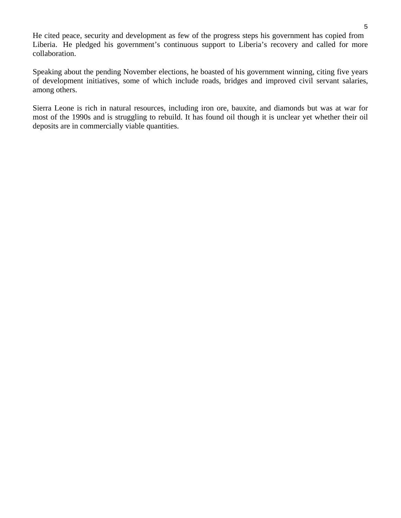He cited peace, security and development as few of the progress steps his government has copied from Liberia. He pledged his government's continuous support to Liberia's recovery and called for more collaboration.

Speaking about the pending November elections, he boasted of his government winning, citing five years of development initiatives, some of which include roads, bridges and improved civil servant salaries, among others.

Sierra Leone is rich in natural resources, including iron ore, bauxite, and diamonds but was at war for most of the 1990s and is struggling to rebuild. It has found oil though it is unclear yet whether their oil deposits are in commercially viable quantities.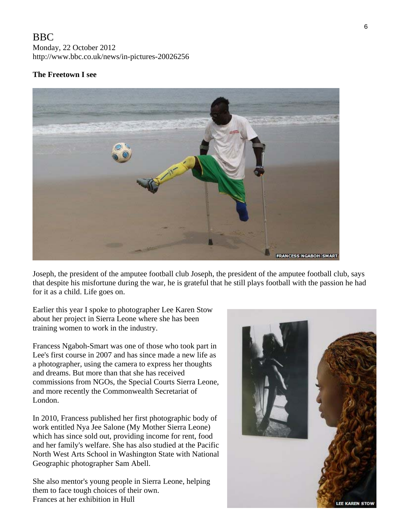### BBC

Monday, 22 October 2012 http://www.bbc.co.uk/news/in-pictures-20026256

#### **The Freetown I see**



Joseph, the president of the amputee football club Joseph, the president of the amputee football club, says that despite his misfortune during the war, he is grateful that he still plays football with the passion he had for it as a child. Life goes on.

Earlier this year I spoke to photographer Lee Karen Stow about her project in Sierra Leone where she has been training women to work in the industry.

Francess Ngaboh-Smart was one of those who took part in Lee's first course in 2007 and has since made a new life as a photographer, using the camera to express her thoughts and dreams. But more than that she has received commissions from NGOs, the Special Courts Sierra Leone, and more recently the Commonwealth Secretariat of London.

In 2010, Francess published her first photographic body of work entitled Nya Jee Salone (My Mother Sierra Leone) which has since sold out, providing income for rent, food and her family's welfare. She has also studied at the Pacific North West Arts School in Washington State with National Geographic photographer Sam Abell.

She also mentor's young people in Sierra Leone, helping them to face tough choices of their own. Frances at her exhibition in Hull